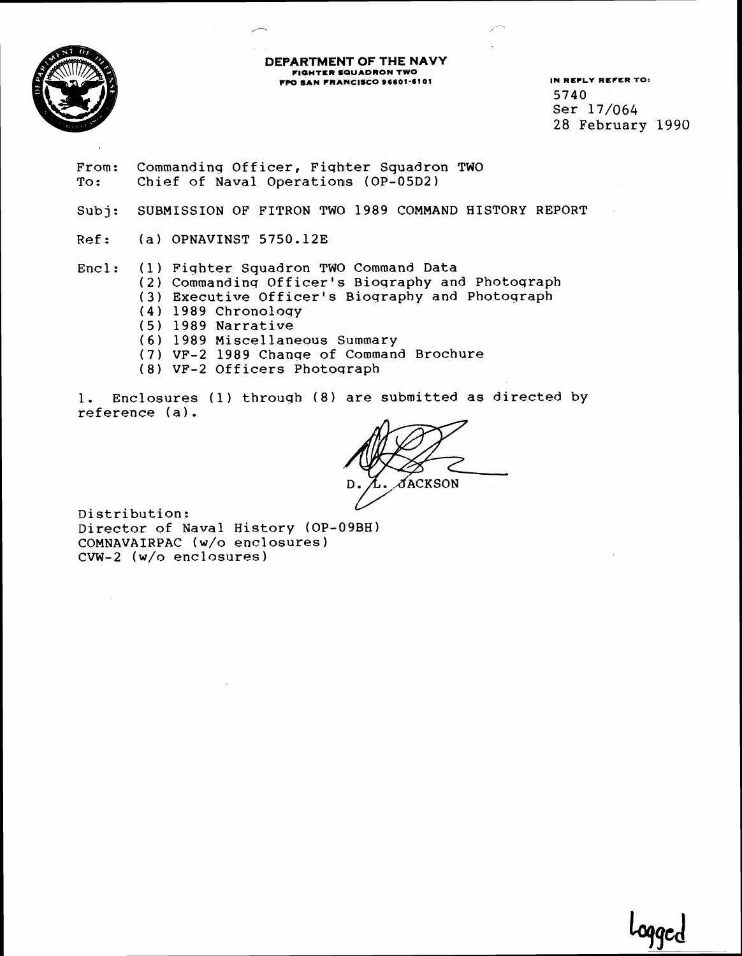

# **DEPARTMENT OF THE NAVY FIGHTER SQUADRON TWO FPO SIN FRANCISCO 96601-61 01 IN REPLY REFER TO:**

5740 Ser 17/064 28 February 1990

- From: Commanding Officer, Fighter Squadron TWO To: Chief of Naval Operations (OP-05D2)
- Subj: SUBMISSION OF FITRON TWO 1989 COMMAND HISTORY REPORT
- Ref: (a) OPNAVINST 5750.12E

# Encl: (1) Fiqhter Squadron TWO Command Data

- **(2)**  Commandinq Officer's Bioqraphy and Photoqraph
- **(3)**  Executive Officer's Bioqraphy and Photoqraph
- **(4)**  1989 Chronoloqy
- (5) 1989 Narrative
- *(6)*  1989 Miscellaneous Summary
- (7 VF-2 1989 Chanqe of Command Brochure
- (8) VF-2 Officers Photoqraph

1. Enclosures (1) through (8) are submitted as directed by reference **(a).** 

**fackson** 

Distribution: Director of Naval History (OP-09BH) COMNAVAIRPAC (W/O enclosures) CVW-2 (w/o enclosures)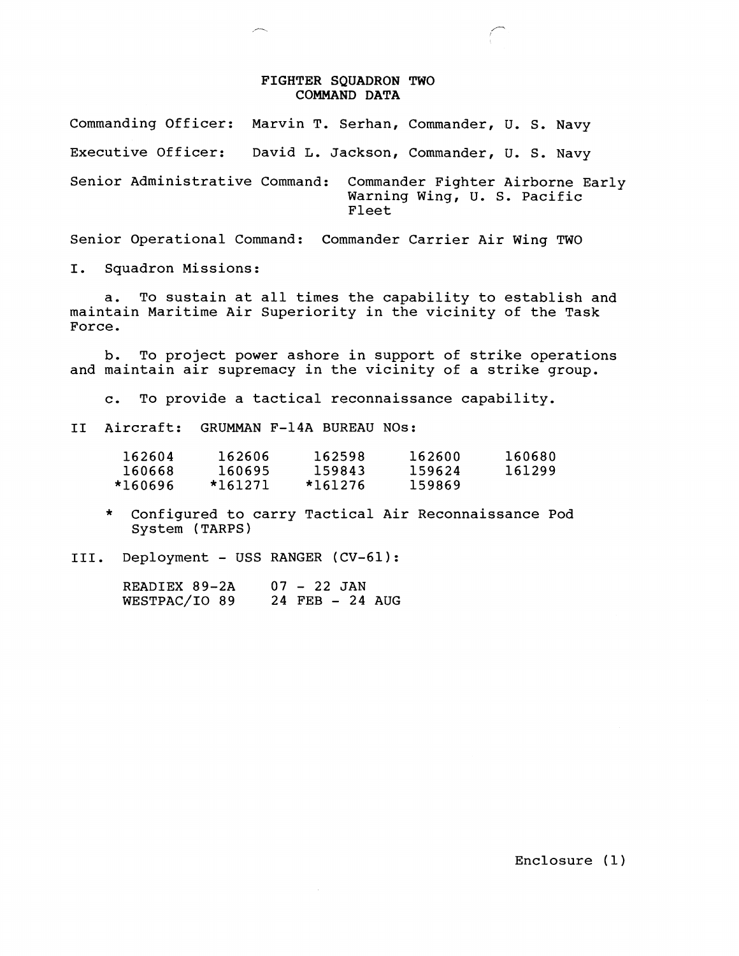### FIGHTER SQUADRON TWO COMMAND DATA

Commanding Officer: Marvin T. Serhan, Commander, U. S. Navy Executive Officer: David L. Jackson, Commander, U. S. Navy Senior Administrative Command: Commander Fighter Airborne Early Warning Wing, U. S. Pacific Fleet

Senior Operational Command: Commander Carrier Air Wing TWO

I. Squadron Missions:

a. To sustain at all times the capability to establish and maintain Maritime Air Superiority in the vicinity of the Task Force.

b. To project power ashore in support of strike operations and maintain air supremacy in the vicinity of a strike group.

c. To provide a tactical reconnaissance capability.

I1 Aircraft: GRUMMAN F-14A BUREAU NOS:

| 162604  | 162606  | 162598  | 162600 | 160680 |
|---------|---------|---------|--------|--------|
| 160668  | 160695  | 159843  | 159624 | 161299 |
| *160696 | *161271 | *161276 | 159869 |        |

- \* Configured to carry Tactical Air Reconnaissance Pod System (TARPS)
- 111. Deployment USS RANGER (CV-61):

READIEX 89-2A 07 - 22 JAN<br>WESTPAC/IO 89 24 FEB - 24 AUG WESTPAC/IO 89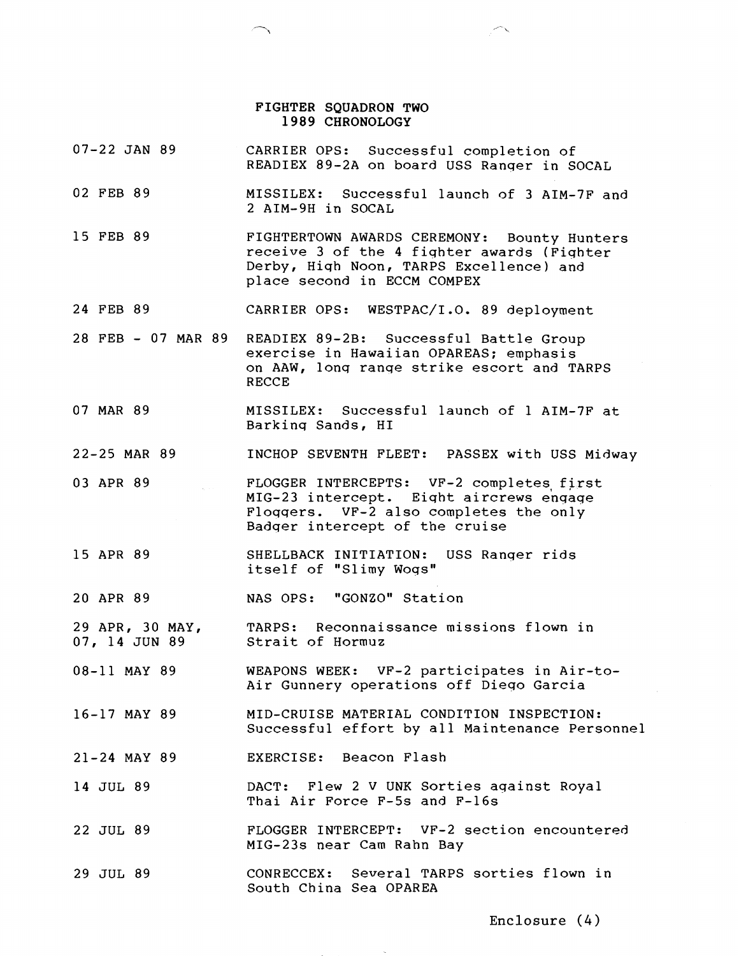#### FIGHTER SQUADRON TWO 1989 CHRONOLOGY

07-22 JAN 89 02 FEB 89 15 FEB 89 24 FEB 89 28 FEB - 07 MAR 89 07 MAR 89 22-25 MAR 89 03 APR 89 15 APR 89 20 APR 89 29 APR, 30 MAY, 07, 14 JUN 89 08-11 MAY 89 16-17 MAY 89 21-24 MAY 89 14 JUL 89 22 JUL 89 29 JUL 89 CARRIER OPS: Successful completion of READIEX 89-2A on board USS Ranqer in SOCAL MISSILEX: Successful launch of 3 AIM-7F and 2 AIM-9H in SOCAL FIGHTERTOWN AWARDS CEREMONY: Bounty Hunters receive 3 of the 4 fiqhter awards (Fiqhter Derby, Hiqh Noon, TARPS Excellence) and place second in ECCM COMPEX CARRIER OPS: WESTPAC/I.O. 89 deployment READIEX 89-2B: Successful Battle Group exercise in Hawaiian OPAREAS; emphasis on AAW, lonq ranqe strike escort and TARPS RECCE MISSILEX: Successful launch of 1 AIM-7F at Barkinq Sands, HI INCHOP SEVENTH FLEET: PASSEX with USS Midway FLOGGER INTERCEPTS: VF-2 completes first MIG-23 intercept. Eiqht aircrews enqaqe Floqqers. VF-2 also completes the only Badqer intercept of the cruise SHELLBACK INITIATION: USS Ranqer rids itself of "Slimy Woqs" NAS OPS: "GONZO" Station TARPS: Reconnaissance missions flown in Strait of Hormuz WEAPONS WEEK: VF-2 participates in Air-to-Air Gunnery operations off Dieqo Garcia MID-CRUISE MATERIAL CONDITION INSPECTION: Successful effort by all Maintenance Personnel EXERCISE: Beacon Flash DACT: Flew 2 V UNK Sorties against Royal Thai Air Force F-5s and F-16s FLOGGER INTERCEPT: VF-2 section encountered MIG-23s near Cam Rahn Bay CONRECCEX: Several TARPS sorties flown in South China Sea OPAREA

**Enclosure** (4)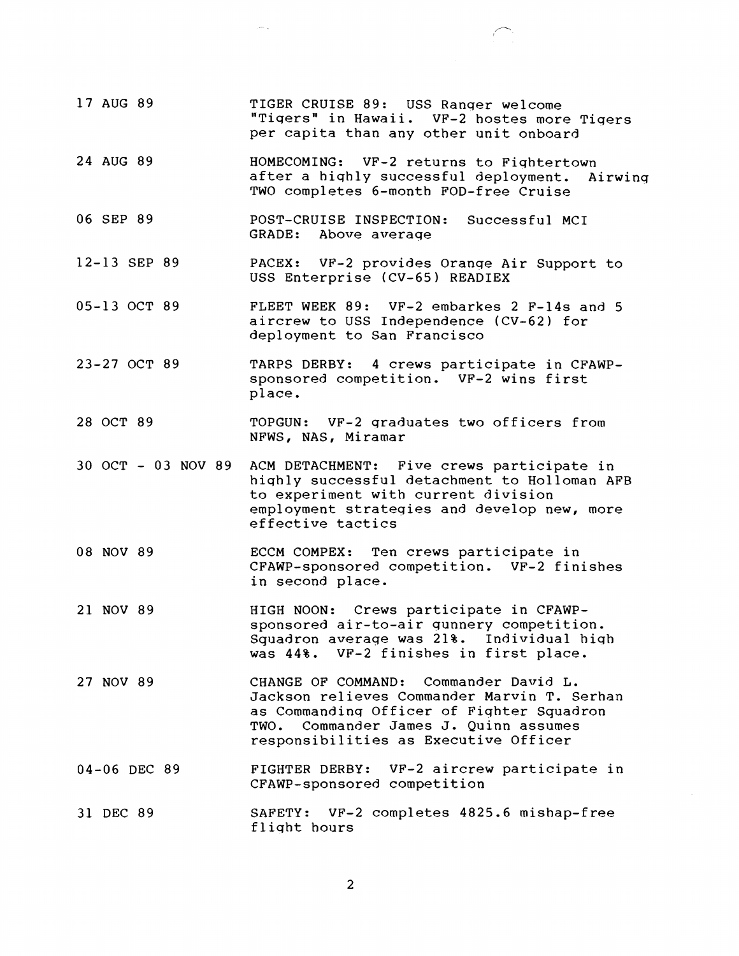17 AUG 89 24 AUG 89 06 SEP 89 12-13 SEP 89 05-13 OCT 89 23-27 OCT 89 28 OCT 89 TIGER CRUISE 89: USS Ranqer welcome "Tiqers" in Hawaii. VF-2 hostes more Tiqers per capita than any other unit onboard HOMECOMING: VF-2 returns to Fiqhtertown after a hiqhly successful deployment. Airwinq TWO completes 6-month FOD-free Cruise POST-CRUISE INSPECTION: Successful MCI GRADE: Above average PACEX: VF-2 provides Oranqe Air Support to USS Enterprise (CV-65) READIEX FLEET WEEK 89: VF-2 embarkes 2 F-14s and 5 aircrew to USS Independence (CV-62) for deployment to San Francisco TARPS DERBY: 4 crews participate in CFAWPsponsored competition. VF-2 wins first place. TOPGUN: VF-2 qraduates two officers from NFWS, NAS, Miramar 30 OCT - 03 NOV 89 ACM DETACHMENT: Five crews participate in hiqhly successful detachment to Holloman AFB to experiment with current division employment strateqies and develop new, more effective tactics 08 NOV 89 21 NOV 89 27 NOV 89 04-06 DEC 89 31 DEC 89 ECCM COMPEX: Ten crews participate in CFAWP-sponsored competition. VF-2 finishes in second place. HIGH NOON: Crews participate in CFAWPsponsored air-to-air qunnery competition. Squadron average was 21%. Individual hiqh was 44%. VF-2 finishes in first place. CHANGE OF COMMAND: Commander David L. Jackson relieves Commander Marvin T. Serhan as Commandinq Officer of Fiqhter Squadron TWO. Commander James J. Quinn assumes responsibilities as Executive Officer FIGHTER DERBY: VF-2 aircrew participate in CFAWP-sponsored competition SAFETY: VF-2 completes 4825.6 mishap-free fliqht hours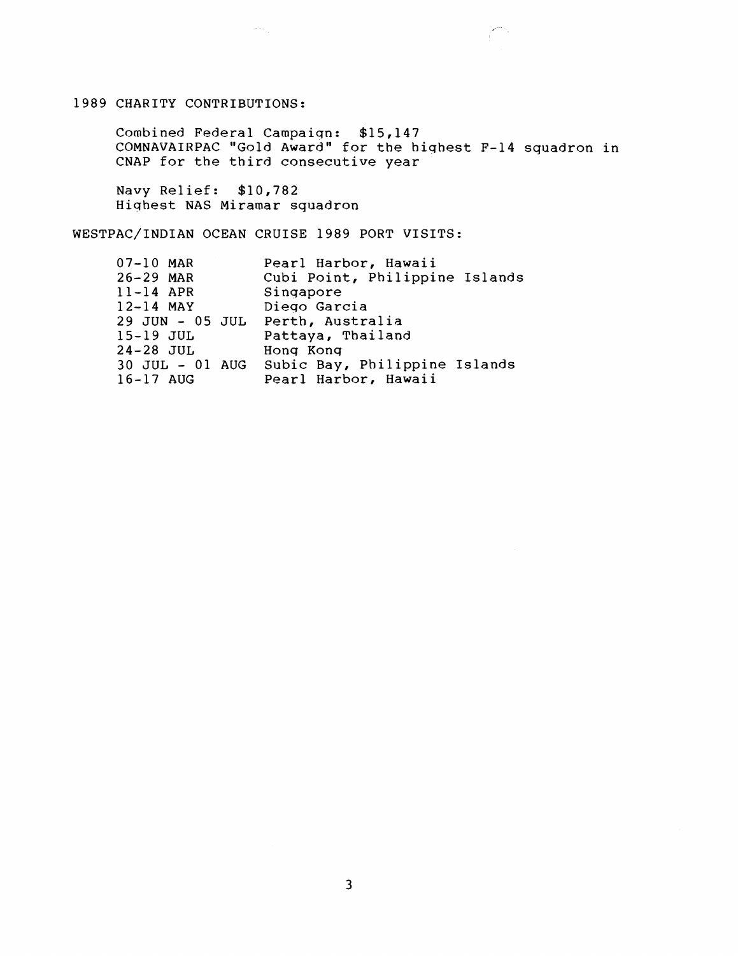## 1989 CHARITY CONTRIBUTIONS:

Combined Federal Campaiqn: \$15,147 COMNAVAIRPAC "Gold Award" for the hiqhest F-14 squadron in CNAP for the third consecutive year

المراكبان

Navy Relief: \$10,782 Hiqhest NAS Miramar squadron

WESTPAC/INDIAN OCEAN CRUISE 1989 PORT VISITS:

 $\label{eq:1} \left\langle \left( \frac{\partial}{\partial x} \right) \right\rangle_{\rm{eff}} = \frac{1}{\sqrt{2\pi}} \left( \frac{\partial}{\partial x} \right) \left( \frac{\partial}{\partial x} \right)$ 

| 07-10 MAR                        | Pearl Harbor, Hawaii                          |
|----------------------------------|-----------------------------------------------|
| $26 - 29$ MAR                    | Cubi Point, Philippine Islands                |
| $11-14$ APR                      | Singapore                                     |
| $12-14$ MAY                      | Diego Garcia                                  |
| 29 JUN - 05 JUL Perth, Australia |                                               |
| 15-19 JUL                        | Pattaya, Thailand                             |
| 24-28 JUL                        | Hong Kong                                     |
|                                  | 30 JUL - 01 AUG Subic Bay, Philippine Islands |
| 16-17 AUG                        | Pearl Harbor, Hawaii                          |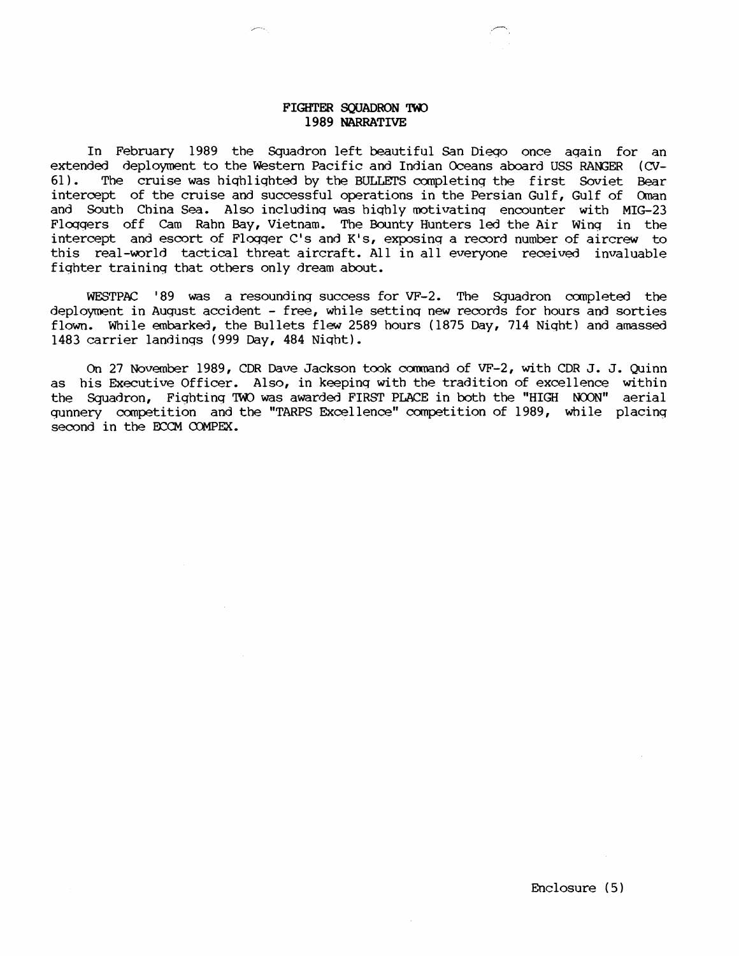### FIGHTER SQUADRON TWO 1989 NARRATIVE

In February 1989 the Squadron left beautiful San Dieqo once aqain for an extended deployment to the Western Pacific and Indian Oceans aboard USS RANGER **(CV-**The cruise was highlighted by the BULLETS completing the first Soviet Bear intercept of the cruise and successful operations in the Persian Gulf, Gulf of Oman and South China Sea. Also including was highly motivating encounter with MIG-23 Floqqers off Cam Rahn Bay, Vietnam. The Bounty Hunters led the Air Wing in the intercept and escort of Floqqer C's and K's, exposinq a record number of aircrew to this real-world tactical threat aircraft. All in all everyone received invaluable fiqhter traininq that others only dream about.

WESTPAC '89 was a resounding success for VF-2. The Squadron completed the deployment in August accident - free, while settinq new records for hours and sorties flown. While embarked, the Bullets flew 2589 hours (1875 Day, 714 Niqht) and amassed 1483 carrier landings (999 Day, 484 Niqht).

On 27 November 1989, CDR Dave Jackson took command of VF-2, with CDR J. J. Quinn as his Executive Officer. Also, in keeping with the tradition of excellence within On 27 November 1989, CDR Dave Jackson took command of VF-2, with CDR J. J. Quinn<br>as his Executive Officer. Also, in keeping with the tradition of excellence within<br>the Squadron, Fighting TWO was awarded FIRST PLACE in both gunnery competition and the "TARPS Excellence" competition of 1989, while placing second in the ECCM COMPEX.